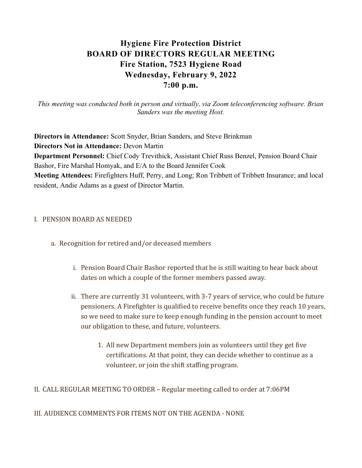# Hygiene Fire Protection District BOARD OF DIRECTORS REGULAR MEETING Fire Station, 7523 Hygiene Road Wednesday, February 9, 2022 7:00 p.m.

This meeting was conducted both in person and virtually, via Zoom teleconferencing software. Brian Sanders was the meeting Host.

Directors in Attendance: Scott Snyder, Brian Sanders, and Steve Brinkman Directors Not in Attendance: Devon Martin Department Personnel: Chief Cody Trevithick, Assistant Chief Russ Benzel, Pension Board Chair Bashor, Fire Marshal Homyak, and E/A to the Board Jennifer Cook Meeting Attendees: Firefighters Huff, Perry, and Long; Ron Tribbett of Tribbett Insurance; and local resident, Andie Adams as a guest of Director Martin.

## I. PENSION BOARD AS NEEDED

- a. Recognition for retired and/or deceased members
	- i. Pension Board Chair Bashor reported that he is still waiting to hear back about dates on which a couple of the former members passed away.
	- ii. There are currently 31 volunteers, with 3-7 years of service, who could be future pensioners. A Firefighter is qualified to receive benefits once they reach 10 years, so we need to make sure to keep enough funding in the pension account to meet our obligation to these, and future, volunteers.
		- 1. All new Department members join as volunteers until they get five certifications. At that point, they can decide whether to continue as a volunteer, or join the shift staffing program.

II. CALL REGULAR MEETING TO ORDER – Regular meeting called to order at 7:06PM

III. AUDIENCE COMMENTS FOR ITEMS NOT ON THE AGENDA - NONE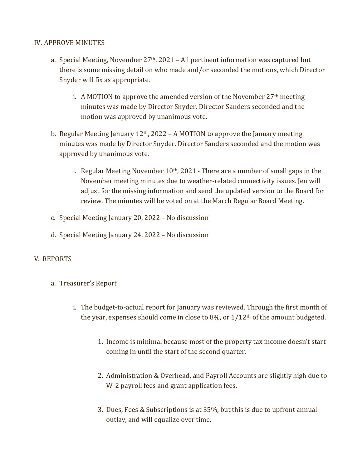## IV. APPROVE MINUTES

- a. Special Meeting, November  $27<sup>th</sup>$ , 2021 All pertinent information was captured but there is some missing detail on who made and/or seconded the motions, which Director Snyder will fix as appropriate.
	- i. A MOTION to approve the amended version of the November  $27<sup>th</sup>$  meeting minutes was made by Director Snyder. Director Sanders seconded and the motion was approved by unanimous vote.
- b. Regular Meeting January  $12<sup>th</sup>$ , 2022 A MOTION to approve the January meeting minutes was made by Director Snyder. Director Sanders seconded and the motion was approved by unanimous vote.
	- i. Regular Meeting November  $10<sup>th</sup>$ , 2021 There are a number of small gaps in the November meeting minutes due to weather-related connectivity issues. Jen will adjust for the missing information and send the updated version to the Board for review. The minutes will be voted on at the March Regular Board Meeting.
- c. Special Meeting January 20, 2022 No discussion
- d. Special Meeting January 24, 2022 No discussion

# V. REPORTS

- a. Treasurer's Report
	- i. The budget-to-actual report for January was reviewed. Through the first month of the year, expenses should come in close to  $8\%$ , or  $1/12$ <sup>th</sup> of the amount budgeted.
		- 1. Income is minimal because most of the property tax income doesn't start coming in until the start of the second quarter.
		- 2. Administration & Overhead, and Payroll Accounts are slightly high due to W-2 payroll fees and grant application fees.
		- 3. Dues, Fees & Subscriptions is at 35%, but this is due to upfront annual outlay, and will equalize over time.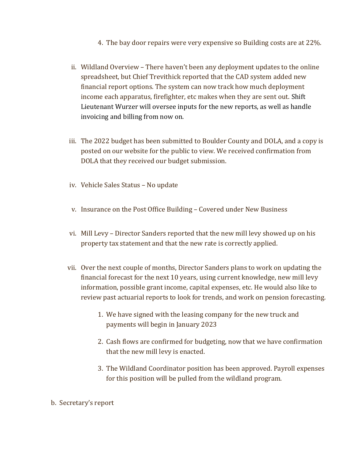- 4. The bay door repairs were very expensive so Building costs are at 22%.
- ii. Wildland Overview There haven't been any deployment updates to the online spreadsheet, but Chief Trevithick reported that the CAD system added new financial report options. The system can now track how much deployment income each apparatus, firefighter, etc makes when they are sent out. Shift Lieutenant Wurzer will oversee inputs for the new reports, as well as handle invoicing and billing from now on.
- iii. The 2022 budget has been submitted to Boulder County and DOLA, and a copy is posted on our website for the public to view. We received confirmation from DOLA that they received our budget submission.
- iv. Vehicle Sales Status No update
- v. Insurance on the Post Office Building Covered under New Business
- vi. Mill Levy Director Sanders reported that the new mill levy showed up on his property tax statement and that the new rate is correctly applied.
- vii. Over the next couple of months, Director Sanders plans to work on updating the financial forecast for the next 10 years, using current knowledge, new mill levy information, possible grant income, capital expenses, etc. He would also like to review past actuarial reports to look for trends, and work on pension forecasting.
	- 1. We have signed with the leasing company for the new truck and payments will begin in January 2023
	- 2. Cash flows are confirmed for budgeting, now that we have confirmation that the new mill levy is enacted.
	- 3. The Wildland Coordinator position has been approved. Payroll expenses for this position will be pulled from the wildland program.
- b. Secretary's report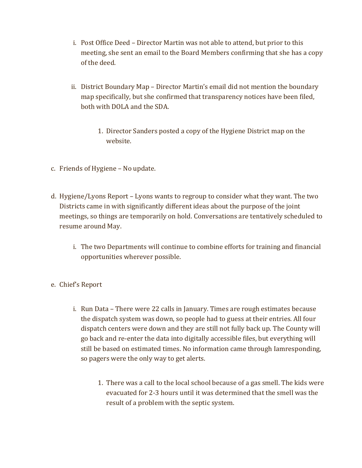- i. Post Office Deed Director Martin was not able to attend, but prior to this meeting, she sent an email to the Board Members confirming that she has a copy of the deed.
- ii. District Boundary Map Director Martin's email did not mention the boundary map specifically, but she confirmed that transparency notices have been filed, both with DOLA and the SDA.
	- 1. Director Sanders posted a copy of the Hygiene District map on the website.
- c. Friends of Hygiene No update.
- d. Hygiene/Lyons Report Lyons wants to regroup to consider what they want. The two Districts came in with significantly different ideas about the purpose of the joint meetings, so things are temporarily on hold. Conversations are tentatively scheduled to resume around May.
	- i. The two Departments will continue to combine efforts for training and financial opportunities wherever possible.
- e. Chief's Report
	- i. Run Data There were 22 calls in January. Times are rough estimates because the dispatch system was down, so people had to guess at their entries. All four dispatch centers were down and they are still not fully back up. The County will go back and re-enter the data into digitally accessible files, but everything will still be based on estimated times. No information came through Iamresponding, so pagers were the only way to get alerts.
		- 1. There was a call to the local school because of a gas smell. The kids were evacuated for 2-3 hours until it was determined that the smell was the result of a problem with the septic system.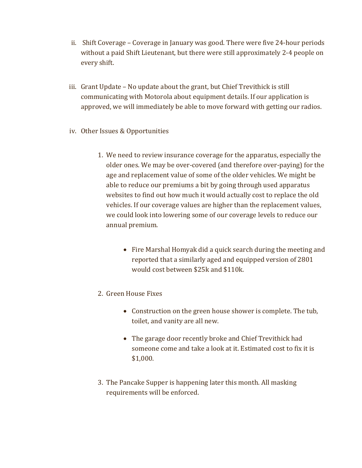- ii. Shift Coverage Coverage in January was good. There were five 24-hour periods without a paid Shift Lieutenant, but there were still approximately 2-4 people on every shift.
- iii. Grant Update No update about the grant, but Chief Trevithick is still communicating with Motorola about equipment details. If our application is approved, we will immediately be able to move forward with getting our radios.
- iv. Other Issues & Opportunities
	- 1. We need to review insurance coverage for the apparatus, especially the older ones. We may be over-covered (and therefore over-paying) for the age and replacement value of some of the older vehicles. We might be able to reduce our premiums a bit by going through used apparatus websites to find out how much it would actually cost to replace the old vehicles. If our coverage values are higher than the replacement values, we could look into lowering some of our coverage levels to reduce our annual premium.
		- Fire Marshal Homyak did a quick search during the meeting and reported that a similarly aged and equipped version of 2801 would cost between \$25k and \$110k.
	- 2. Green House Fixes
		- Construction on the green house shower is complete. The tub, toilet, and vanity are all new.
		- The garage door recently broke and Chief Trevithick had someone come and take a look at it. Estimated cost to fix it is \$1,000.
	- 3. The Pancake Supper is happening later this month. All masking requirements will be enforced.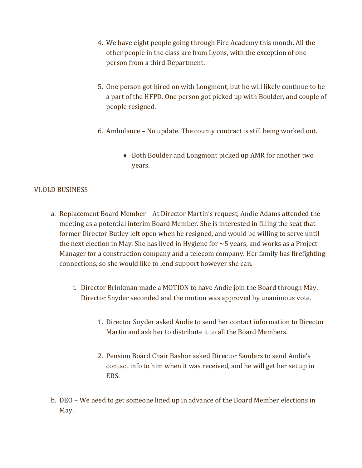- 4. We have eight people going through Fire Academy this month. All the other people in the class are from Lyons, with the exception of one person from a third Department.
- 5. One person got hired on with Longmont, but he will likely continue to be a part of the HFPD. One person got picked up with Boulder, and couple of people resigned.
- 6. Ambulance No update. The county contract is still being worked out.
	- Both Boulder and Longmont picked up AMR for another two years.

## VI.OLD BUSINESS

- a. Replacement Board Member At Director Martin's request, Andie Adams attended the meeting as a potential interim Board Member. She is interested in filling the seat that former Director Butley left open when he resigned, and would be willing to serve until the next election in May. She has lived in Hygiene for  $\sim$  5 years, and works as a Project Manager for a construction company and a telecom company. Her family has firefighting connections, so she would like to lend support however she can.
	- i. Director Brinkman made a MOTION to have Andie join the Board through May. Director Snyder seconded and the motion was approved by unanimous vote.
		- 1. Director Snyder asked Andie to send her contact information to Director Martin and ask her to distribute it to all the Board Members.
		- 2. Pension Board Chair Bashor asked Director Sanders to send Andie's contact info to him when it was received, and he will get her set up in ERS.
- b. DEO We need to get someone lined up in advance of the Board Member elections in May.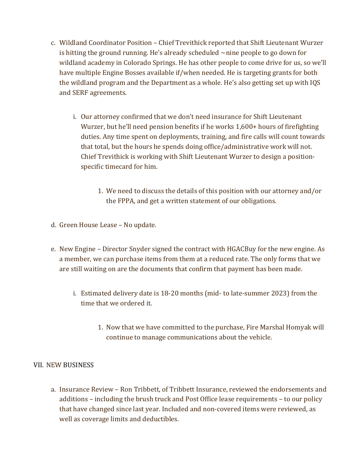- c. Wildland Coordinator Position Chief Trevithick reported that Shift Lieutenant Wurzer is hitting the ground running. He's already scheduled  $\sim$ nine people to go down for wildland academy in Colorado Springs. He has other people to come drive for us, so we'll have multiple Engine Bosses available if/when needed. He is targeting grants for both the wildland program and the Department as a whole. He's also getting set up with IQS and SERF agreements.
	- i. Our attorney confirmed that we don't need insurance for Shift Lieutenant Wurzer, but he'll need pension benefits if he works 1,600+ hours of firefighting duties. Any time spent on deployments, training, and fire calls will count towards that total, but the hours he spends doing office/administrative work will not. Chief Trevithick is working with Shift Lieutenant Wurzer to design a positionspecific timecard for him.
		- 1. We need to discuss the details of this position with our attorney and/or the FPPA, and get a written statement of our obligations.
- d. Green House Lease No update.
- e. New Engine Director Snyder signed the contract with HGACBuy for the new engine. As a member, we can purchase items from them at a reduced rate. The only forms that we are still waiting on are the documents that confirm that payment has been made.
	- i. Estimated delivery date is 18-20 months (mid- to late-summer 2023) from the time that we ordered it.
		- 1. Now that we have committed to the purchase, Fire Marshal Homyak will continue to manage communications about the vehicle.

## VII. NEW BUSINESS

a. Insurance Review – Ron Tribbett, of Tribbett Insurance, reviewed the endorsements and additions – including the brush truck and Post Office lease requirements – to our policy that have changed since last year. Included and non-covered items were reviewed, as well as coverage limits and deductibles.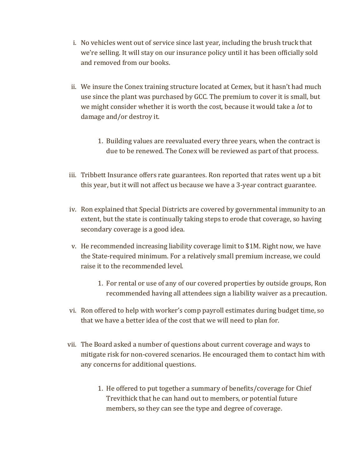- i. No vehicles went out of service since last year, including the brush truck that we're selling. It will stay on our insurance policy until it has been officially sold and removed from our books.
- ii. We insure the Conex training structure located at Cemex, but it hasn't had much use since the plant was purchased by GCC. The premium to cover it is small, but we might consider whether it is worth the cost, because it would take a *lot* to damage and/or destroy it.
	- 1. Building values are reevaluated every three years, when the contract is due to be renewed. The Conex will be reviewed as part of that process.
- iii. Tribbett Insurance offers rate guarantees. Ron reported that rates went up a bit this year, but it will not affect us because we have a 3-year contract guarantee.
- iv. Ron explained that Special Districts are covered by governmental immunity to an extent, but the state is continually taking steps to erode that coverage, so having secondary coverage is a good idea.
- v. He recommended increasing liability coverage limit to \$1M. Right now, we have the State-required minimum. For a relatively small premium increase, we could raise it to the recommended level.
	- 1. For rental or use of any of our covered properties by outside groups, Ron recommended having all attendees sign a liability waiver as a precaution.
- vi. Ron offered to help with worker's comp payroll estimates during budget time, so that we have a better idea of the cost that we will need to plan for.
- vii. The Board asked a number of questions about current coverage and ways to mitigate risk for non-covered scenarios. He encouraged them to contact him with any concerns for additional questions.
	- 1. He offered to put together a summary of benefits/coverage for Chief Trevithick that he can hand out to members, or potential future members, so they can see the type and degree of coverage.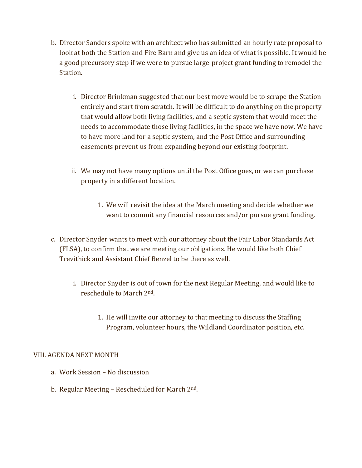- b. Director Sanders spoke with an architect who has submitted an hourly rate proposal to look at both the Station and Fire Barn and give us an idea of what is possible. It would be a good precursory step if we were to pursue large-project grant funding to remodel the Station.
	- i. Director Brinkman suggested that our best move would be to scrape the Station entirely and start from scratch. It will be difficult to do anything on the property that would allow both living facilities, and a septic system that would meet the needs to accommodate those living facilities, in the space we have now. We have to have more land for a septic system, and the Post Office and surrounding easements prevent us from expanding beyond our existing footprint.
	- ii. We may not have many options until the Post Office goes, or we can purchase property in a different location.
		- 1. We will revisit the idea at the March meeting and decide whether we want to commit any financial resources and/or pursue grant funding.
- c. Director Snyder wants to meet with our attorney about the Fair Labor Standards Act (FLSA), to confirm that we are meeting our obligations. He would like both Chief Trevithick and Assistant Chief Benzel to be there as well.
	- i. Director Snyder is out of town for the next Regular Meeting, and would like to reschedule to March 2nd.
		- 1. He will invite our attorney to that meeting to discuss the Staffing Program, volunteer hours, the Wildland Coordinator position, etc.

## VIII. AGENDA NEXT MONTH

- a. Work Session No discussion
- b. Regular Meeting Rescheduled for March 2nd.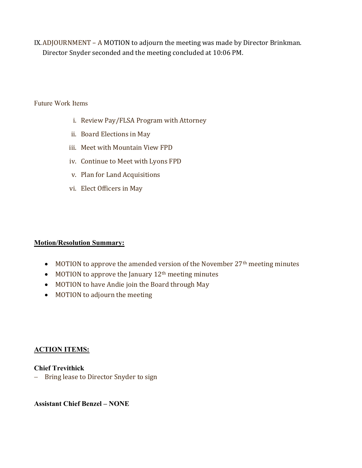IX.ADJOURNMENT – A MOTION to adjourn the meeting was made by Director Brinkman. Director Snyder seconded and the meeting concluded at 10:06 PM.

#### Future Work Items

- i. Review Pay/FLSA Program with Attorney
- ii. Board Elections in May
- iii. Meet with Mountain View FPD
- iv. Continue to Meet with Lyons FPD
- v. Plan for Land Acquisitions
- vi. Elect Officers in May

## Motion/Resolution Summary:

- MOTION to approve the amended version of the November 27<sup>th</sup> meeting minutes
- $\bullet$  MOTION to approve the January 12<sup>th</sup> meeting minutes
- MOTION to have Andie join the Board through May
- MOTION to adjourn the meeting

## ACTION ITEMS:

# Chief Trevithick

- Bring lease to Director Snyder to sign

# Assistant Chief Benzel – NONE